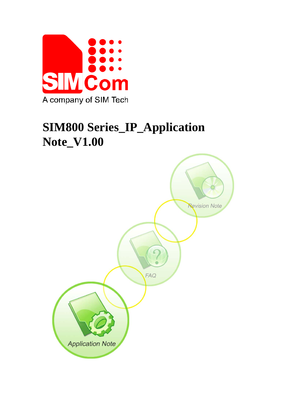

# **SIM800 Series\_IP\_Application Note\_V1.00**

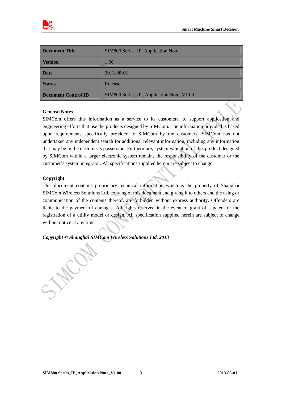

| <b>Document Title</b>      | SIM800 Series_IP_Application Note       |
|----------------------------|-----------------------------------------|
| <b>Version</b>             | 1.00                                    |
| <b>Date</b>                | 2013-08-01                              |
| <b>Status</b>              | Release                                 |
| <b>Document Control ID</b> | SIM800 Series_IP_Application Note_V1.00 |

#### **General Notes**

SIMCom offers this information as a service to its customers, to support application and engineering efforts that use the products designed by SIMCom. The information provided is based upon requirements specifically provided to SIMCom by the customers. SIMCom has not undertaken any independent search for additional relevant information, including any information that may be in the customer's possession. Furthermore, system validation of this product designed by SIMCom within a larger electronic system remains the responsibility of the customer or the customer's system integrator. All specifications supplied herein are subject to change.

#### **Copyright**

This document contains proprietary technical information which is the property of Shanghai SIMCom Wireless Solutions Ltd, copying of this document and giving it to others and the using or communication of the contents thereof, are forbidden without express authority. Offenders are liable to the payment of damages. All rights reserved in the event of grant of a patent or the registration of a utility model or design. All specification supplied herein are subject to change without notice at any time.

#### *Copyright © Shanghai SIMCom Wireless Solutions Ltd. 2013*

Max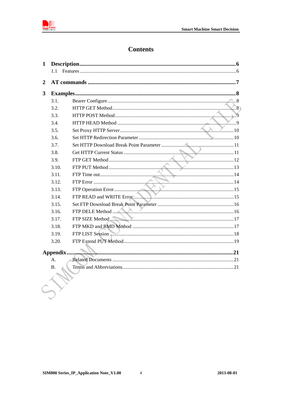

# **Contents**

| $\mathbf{1}$ |           |  |
|--------------|-----------|--|
|              | 1.1       |  |
| 2            |           |  |
| 3            |           |  |
|              | 3.1.      |  |
|              | 3.2.      |  |
|              | 3.3.      |  |
|              | 3.4.      |  |
|              | 3.5.      |  |
|              | 3.6.      |  |
|              | 3.7.      |  |
|              | 3.8.      |  |
|              | 3.9.      |  |
|              | 3.10.     |  |
|              | 3.11.     |  |
|              | 3.12.     |  |
|              | 3.13.     |  |
|              | 3.14.     |  |
|              | 3.15.     |  |
|              | 3.16.     |  |
|              | 3.17.     |  |
|              | 3.18.     |  |
|              | 3.19.     |  |
|              | 3.20.     |  |
|              |           |  |
|              | A.        |  |
|              | <b>B.</b> |  |
|              |           |  |
|              |           |  |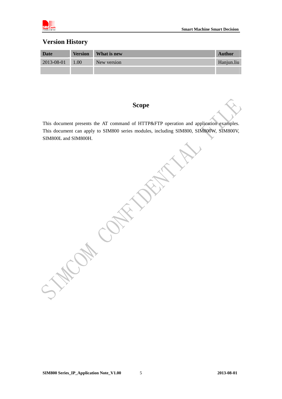

### **Version History**

| <b>Date</b> | <b>Version</b> | What is new | <b>Author</b> |
|-------------|----------------|-------------|---------------|
| 2013-08-01  | 1.00           | New version | Hanjun.liu    |
|             |                |             |               |

### **Scope**

This document presents the AT command of HTTP&FTP operation and application examples. This document can apply to SIM800 series modules, including SIM800, SIM800W, SIM800V, SIM800L and SIM800H.

**HILLIS CONTAINS** 

**SIM800 Series\_IP\_Application Note\_V1.00 2013-08-01** 5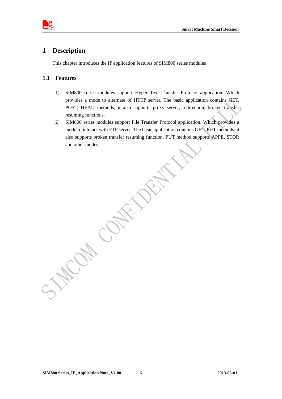<span id="page-4-0"></span>

### **1 Description**

This chapter introduces the IP application features of SIM800 series modules

#### **1.1 Features**

- 1) SIM800 series modules support Hyper Text Transfer Protocol application. Which provides a mode to alternate of HTTP server. The basic application contains GET, POST, HEAD methods; it also supports proxy server, redirection, broken transfer resuming functions.
- 2) SIM800 series modules support File Transfer Protocol application. Which provides a mode to interact with FTP server. The basic application contains GET, PUT methods, it also supports broken transfer resuming function. PUT method supports APPE, STOR and other modes.

**SIM800 Series\_IP\_Application Note\_V1.00 2013-08-01** 6

HICAL COL.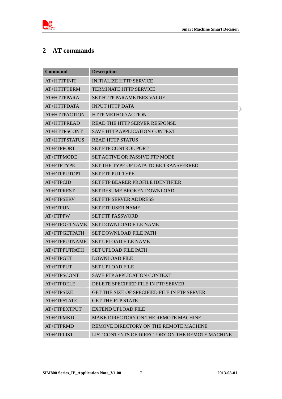<span id="page-5-0"></span>

# **2 AT commands**

| <b>Command</b> | <b>Description</b>                               |
|----------------|--------------------------------------------------|
| AT+HTTPINIT    | <b>INITIALIZE HTTP SERVICE</b>                   |
| AT+HTTPTERM    | <b>TERMINATE HTTP SERVICE</b>                    |
| AT+HTTPPARA    | SET HTTP PARAMETERS VALUE                        |
| AT+HTTPDATA    | <b>INPUT HTTP DATA</b>                           |
| AT+HTTPACTION  | <b>HTTP METHOD ACTION</b>                        |
| AT+HTTPREAD    | READ THE HTTP SERVER RESPONSE                    |
| AT+HTTPSCONT   | <b>SAVE HTTP APPLICATION CONTEXT</b>             |
| AT+HTTPSTATUS  | <b>READ HTTP STATUS</b>                          |
| AT+FTPPORT     | <b>SET FTP CONTROL PORT</b>                      |
| AT+FTPMODE     | SET ACTIVE OR PASSIVE FTP MODE                   |
| AT+FTPTYPE     | SET THE TYPE OF DATA TO BE TRANSFERRED           |
| AT+FTPPUTOPT   | <b>SET FTP PUT TYPE</b>                          |
| AT+FTPCID      | SET FTP BEARER PROFILE IDENTIFIER                |
| AT+FTPREST     | <b>SET RESUME BROKEN DOWNLOAD</b>                |
| AT+FTPSERV     | <b>SET FTP SERVER ADDRESS</b>                    |
| AT+FTPUN       | <b>SET FTP USER NAME</b>                         |
| AT+FTPPW       | <b>SET FTP PASSWORD</b>                          |
| AT+FTPGETNAME  | <b>SET DOWNLOAD FILE NAME</b>                    |
| AT+FTPGETPATH  | <b>SET DOWNLOAD FILE PATH</b>                    |
| AT+FTPPUTNAME  | <b>SET UPLOAD FILE NAME</b>                      |
| AT+FTPPUTPATH  | <b>SET UPLOAD FILE PATH</b>                      |
| AT+FTPGET      | <b>DOWNLOAD FILE</b>                             |
| AT+FTPPUT      | <b>SET UPLOAD FILE</b>                           |
| AT+FTPSCONT    | <b>SAVE FTP APPLICATION CONTEXT</b>              |
| AT+FTPDELE     | DELETE SPECIFIED FILE IN FTP SERVER              |
| AT+FTPSIZE     | GET THE SIZE OF SPECIFIED FILE IN FTP SERVER     |
| AT+FTPSTATE    | <b>GET THE FTP STATE</b>                         |
| AT+FTPEXTPUT   | <b>EXTEND UPLOAD FILE</b>                        |
| AT+FTPMKD      | MAKE DIRECTORY ON THE REMOTE MACHINE             |
| AT+FTPRMD      | REMOVE DIRECTORY ON THE REMOTE MACHINE           |
| AT+FTPLIST     | LIST CONTENTS OF DIRECTORY ON THE REMOTE MACHINE |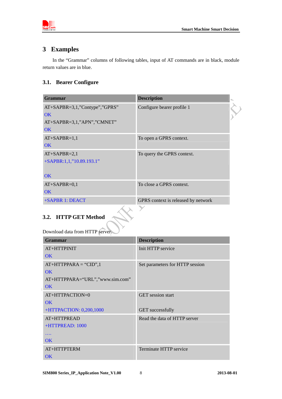<span id="page-6-0"></span>

### **3 Examples**

In the "Grammar" columns of following tables, input of AT commands are in black, module return values are in blue.

### **3.1. Bearer Configure**

| <b>Grammar</b>                     | <b>Description</b>                  |  |
|------------------------------------|-------------------------------------|--|
| $AT+SAPBR = 3,1,$ "Contype","GPRS" | Configure bearer profile 1          |  |
| OK.                                |                                     |  |
| AT+SAPBR=3,1,"APN","CMNET"         |                                     |  |
| <b>OK</b>                          |                                     |  |
| $AT+SAPBR=1,1$                     | To open a GPRS context.             |  |
| OK                                 |                                     |  |
| $AT+SAPBR=2,1$                     | To query the GPRS context.          |  |
| +SAPBR:1,1,"10.89.193.1"           |                                     |  |
| <b>OK</b>                          |                                     |  |
| $AT+SAPBR=0,1$                     | To close a GPRS context.            |  |
| OK                                 |                                     |  |
| +SAPBR 1: DEACT                    | GPRS context is released by network |  |
|                                    |                                     |  |

# **3.2. HTTP GET Method**

Download data from HTTP server.

| Grammar                         | <b>Description</b>              |
|---------------------------------|---------------------------------|
| AT+HTTPINIT                     | Init HTTP service               |
| OK                              |                                 |
| $AT+HTTPPARA = "CID", 1$        | Set parameters for HTTP session |
| OK                              |                                 |
| AT+HTTPPARA="URL","www.sim.com" |                                 |
| $\overline{\text{OK}}$          |                                 |
| $AT+HTTPACTION=0$               | <b>GET</b> session start        |
| OK                              |                                 |
| +HTTPACTION: 0,200,1000         | <b>GET</b> successfully         |
| AT+HTTPREAD                     | Read the data of HTTP server    |
| +HTTPREAD: 1000                 |                                 |
| $\cdots$                        |                                 |
| <b>OK</b>                       |                                 |
| $AT+HTTPTERN$                   | Terminate HTTP service          |
| <b>OK</b>                       |                                 |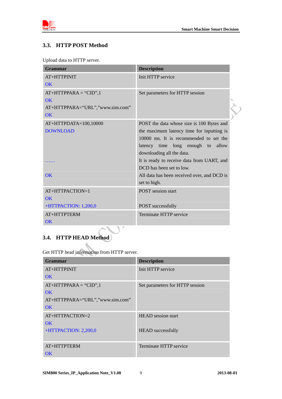<span id="page-7-0"></span>

 $\rightarrow$ 

### **3.3. HTTP POST Method**

Upload data to HTTP server.

| <b>Grammar</b>                  | <b>Description</b>                          |
|---------------------------------|---------------------------------------------|
| AT+HTTPINIT                     | Init HTTP service                           |
| $\overline{\text{OK}}$          |                                             |
| $AT+HTTPPARA = "CID", 1$        | Set parameters for HTTP session             |
| $\overline{\text{OK}}$          |                                             |
| AT+HTTPPARA="URL","www.sim.com" |                                             |
| $\overline{\text{OK}}$          |                                             |
| AT+HTTPDATA=100,10000           | POST the data whose size is 100 Bytes and   |
| <b>DOWNLOAD</b>                 | the maximum latency time for inputting is   |
|                                 | 10000 ms. It is recommended to set the      |
|                                 | latency time long enough to allow           |
|                                 | downloading all the data.                   |
|                                 | It is ready to receive data from UART, and  |
|                                 | DCD has been set to low.                    |
| $\overline{\text{OK}}$          | All data has been received over, and DCD is |
|                                 | set to high.                                |
| AT+HTTPACTION=1                 | <b>POST</b> session start                   |
| $\overline{\text{OK}}$          |                                             |
| +HTTPACTION: 1,200,0            | POST successfully                           |
| AT+HTTPTERM                     | Terminate HTTP service                      |
| $\overline{\text{OK}}$          |                                             |
| ╲                               |                                             |

# **3.4. HTTP HEAD Method**

Get HTTP head information from HTTP server.

| Grammar                         | <b>Description</b>              |
|---------------------------------|---------------------------------|
| $AT+HTTPINIT$                   | Init HTTP service               |
| OK                              |                                 |
| $AT+HTTPPARA = "CID", 1$        | Set parameters for HTTP session |
| OK                              |                                 |
| AT+HTTPPARA="URL","www.sim.com" |                                 |
| OK                              |                                 |
| $AT+HTTPACTION=2$               | <b>HEAD</b> session start       |
| $\overline{\text{OK}}$          |                                 |
| +HTTPACTION: 2,200,0            | <b>HEAD</b> successfully        |
|                                 |                                 |
| AT+HTTPTERM                     | Terminate HTTP service          |
| OK                              |                                 |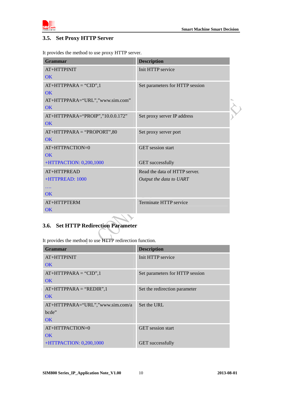<span id="page-8-0"></span>

### **3.5. Set Proxy HTTP Server**

It provides the method to use proxy HTTP server.

| Grammar                          | <b>Description</b>              |  |
|----------------------------------|---------------------------------|--|
| AT+HTTPINIT                      | Init HTTP service               |  |
| $\overline{\text{OK}}$           |                                 |  |
| $AT+HTTPPARA = "CID", 1$         | Set parameters for HTTP session |  |
| $\overline{\text{OK}}$           |                                 |  |
| AT+HTTPPARA="URL","www.sim.com"  |                                 |  |
| OK                               |                                 |  |
| AT+HTTPPARA="PROIP","10.0.0.172" | Set proxy server IP address     |  |
| <b>OK</b>                        |                                 |  |
| $AT+HTTPPARA = "PROPORT", 80$    | Set proxy server port           |  |
| OK                               |                                 |  |
| AT+HTTPACTION=0                  | <b>GET</b> session start        |  |
| $\overline{\text{OK}}$           |                                 |  |
| +HTTPACTION: 0,200,1000          | <b>GET</b> successfully         |  |
| AT+HTTPREAD                      | Read the data of HTTP server.   |  |
| +HTTPREAD: 1000                  | Output the data to UART         |  |
|                                  |                                 |  |
| $\overline{\text{OK}}$           |                                 |  |
| AT+HTTPTERM                      | Terminate HTTP service          |  |
| $\overline{\text{OK}}$           |                                 |  |

# **3.6. Set HTTP Redirection Parameter**

It provides the method to use HTTP redirection function.

| Grammar                          | <b>Description</b>              |
|----------------------------------|---------------------------------|
| $AT+HTTPINIT$                    | Init HTTP service               |
| OK                               |                                 |
| $AT+HTTPPARA = "CID", 1$         | Set parameters for HTTP session |
| OK                               |                                 |
| $AT+HTTPPARA = "REDIR", 1$       | Set the redirection parameter   |
| OK                               |                                 |
| AT+HTTPPARA="URL","www.sim.com/a | Set the URL                     |
| bcde"                            |                                 |
| OK                               |                                 |
| $AT+HTTPACTION = 0$              | <b>GET</b> session start        |
| OK                               |                                 |
| $+$ HTTPACTION: 0,200,1000       | <b>GET</b> successfully         |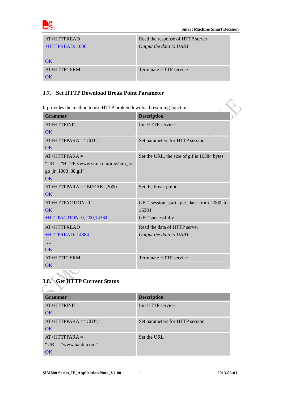<span id="page-9-0"></span>

| $AT+HTTPREAD$     | Read the response of HTTP server |
|-------------------|----------------------------------|
| $+HTTPREAD: 1000$ | Output the data to UART          |
| $\cdots$          |                                  |
| OK                |                                  |
| $AT+HTTPTERN$     | Terminate HTTP service           |
| ΩK                |                                  |

### **3.7. Set HTTP Download Break Point Parameter**

| <b>Grammar</b>                                                                      | <b>Description</b>                                                           |
|-------------------------------------------------------------------------------------|------------------------------------------------------------------------------|
| AT+HTTPINIT<br>$\overline{\text{OK}}$                                               | Init HTTP service                                                            |
| $AT+HTTPPARA = "CID", 1$<br><b>OK</b>                                               | Set parameters for HTTP session                                              |
| $AT+HTTPPARA =$<br>"URL","HTTP://www.sim.com/img/sim_lo<br>go_jr_1003_38.gif"<br>OK | Set the URL, the size of gif is 16384 bytes                                  |
| $AT+HTTPPARA = "BREAK", 2000$<br>$\overline{\text{OK}}$                             | Set the break point                                                          |
| AT+HTTPACTION=0<br>$\overline{\text{OK}}$<br>+HTTPACTION: 0, 200,14384              | GET session start, get data from 2000 to<br>16384<br><b>GET</b> successfully |
| AT+HTTPREAD<br>+HTTPREAD: 14384<br>.<br>$\overline{\text{OK}}$                      | Read the data of HTTP server<br>Output the data to UART                      |
| AT+HTTPTERM<br>$\overline{\text{OK}}$                                               | Terminate HTTP service                                                       |

# **3.8. Get HTTP Current Status**

| <b>Grammar</b>           | <b>Description</b>              |
|--------------------------|---------------------------------|
| $AT+HTTPINIT$            | Init HTTP service               |
| <b>OK</b>                |                                 |
| $AT+HTTPPARA = "CID", 1$ | Set parameters for HTTP session |
| <b>OK</b>                |                                 |
| $AT+HTTPPARA=$           | Set the URL                     |
| "URL", "www.baidu.com"   |                                 |
| $\overline{\text{OK}}$   |                                 |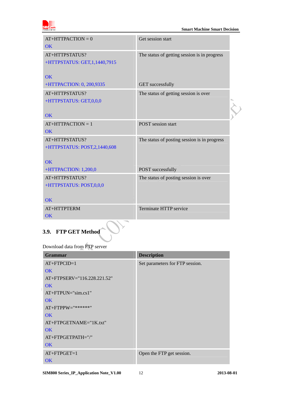<span id="page-10-0"></span>

| $AT+HTTPACTION = 0$<br>$\overline{\text{OK}}$     | Get session start                            |  |
|---------------------------------------------------|----------------------------------------------|--|
| AT+HTTPSTATUS?<br>+HTTPSTATUS: GET, 1, 1440, 7915 | The status of getting session is in progress |  |
| $\overline{\text{OK}}$                            |                                              |  |
| +HTTPACTION: 0, 200,9335                          | <b>GET</b> successfully                      |  |
| AT+HTTPSTATUS?<br>+HTTPSTATUS: GET,0,0,0          | The status of getting session is over        |  |
| <b>OK</b>                                         |                                              |  |
| $AT+HTTPACTION = 1$                               | <b>POST</b> session start                    |  |
| OK                                                |                                              |  |
| AT+HTTPSTATUS?<br>+HTTPSTATUS: POST,2,1440,608    | The status of posting session is in progress |  |
| $\overline{\text{OK}}$                            |                                              |  |
| +HTTPACTION: 1,200,0                              | POST successfully                            |  |
| AT+HTTPSTATUS?<br>+HTTPSTATUS: POST,0,0,0         | The status of posting session is over        |  |
| <b>OK</b>                                         |                                              |  |
| AT+HTTPTERM<br><b>OK</b>                          | Terminate HTTP service                       |  |

# **3.9. FTP GET Method**

Download data from FTP server

| <b>Grammar</b>                    | <b>Description</b>              |
|-----------------------------------|---------------------------------|
| $AT+FTPCID=1$                     | Set parameters for FTP session. |
| OK                                |                                 |
| $AT + FTPSERV = "116.228.221.52"$ |                                 |
| OK                                |                                 |
| $AT+FTPIJN=$ "sim.cs1"            |                                 |
| OK                                |                                 |
| $AT+FTPPW=$ "******"              |                                 |
| OK                                |                                 |
| AT+FTPGETNAME="1K.txt"            |                                 |
| OK                                |                                 |
| AT+FTPGETPATH="/"                 |                                 |
| <b>OK</b>                         |                                 |
| $AT + FTPGET = 1$                 | Open the FTP get session.       |
| <b>OK</b>                         |                                 |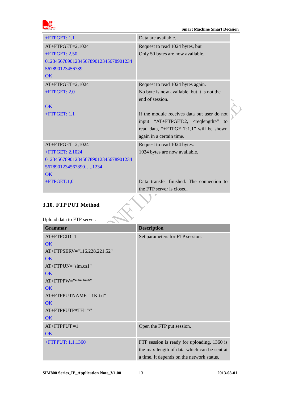<span id="page-11-0"></span>

| $+$ FTPGET: 1,1                     | Data are available.                             |
|-------------------------------------|-------------------------------------------------|
| AT+FTPGET=2,1024                    | Request to read 1024 bytes, but                 |
| $+$ FTPGET: 2,50                    | Only 50 bytes are now available.                |
| 01234567890123456789012345678901234 |                                                 |
| 567890123456789                     |                                                 |
| <b>OK</b>                           |                                                 |
| $AT+FTPGET=2,1024$                  | Request to read 1024 bytes again.               |
| $+$ FTPGET: 2,0                     | No byte is now available, but it is not the     |
|                                     | end of session.                                 |
| <b>OK</b>                           |                                                 |
| $+$ FTPGET: 1,1                     | If the module receives data but user do not     |
|                                     | input "AT+FTPGET:2, <reqlength>" to</reqlength> |
|                                     | read data, "+FTPGE T:1,1" will be shown         |
|                                     | again in a certain time.                        |
| $AT+FTPGET=2,1024$                  | Request to read 1024 bytes.                     |
| +FTPGET: 2,1024                     | 1024 bytes are now available.                   |
| 01234567890123456789012345678901234 |                                                 |
| 56789012345678901234                |                                                 |
| $\overline{\text{OK}}$              |                                                 |
| $+$ FTPGET:1,0                      | Data transfer finished. The connection to       |
|                                     | the FTP server is closed.                       |
|                                     |                                                 |
| 3.10. FTP PUT Method                |                                                 |
|                                     |                                                 |
| Upload data to FTP server.          |                                                 |

# **3.10. FTP PUT Method**

# Upload data to FTP server.

| <b>Grammar</b>              | <b>Description</b>                          |
|-----------------------------|---------------------------------------------|
| $AT+FTPCID=1$               | Set parameters for FTP session.             |
| <b>OK</b>                   |                                             |
| AT+FTPSERV="116.228.221.52" |                                             |
| OK                          |                                             |
| $AT+FTPUN="sim.cs1"$        |                                             |
| <b>OK</b>                   |                                             |
| $AT+FTPPW=""******"$        |                                             |
| <b>OK</b>                   |                                             |
| AT+FTPPUTNAME="1K.txt"      |                                             |
| <b>OK</b>                   |                                             |
| AT+FTPPUTPATH="/"           |                                             |
| <b>OK</b>                   |                                             |
| $AT+FTPPUT=1$               | Open the FTP put session.                   |
| <b>OK</b>                   |                                             |
| +FTPPUT: 1,1,1360           | FTP session is ready for uploading. 1360 is |
|                             | the max length of data which can be sent at |
|                             | a time. It depends on the network status.   |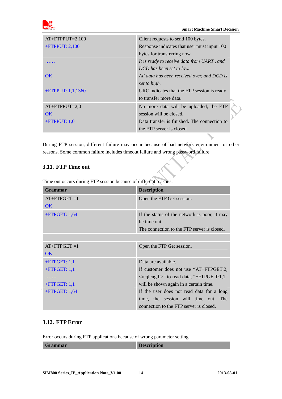<span id="page-12-0"></span>

| $AT+FTPPUT=2,100$      | Client requests to send 100 bytes.           |
|------------------------|----------------------------------------------|
| $+$ FTPPUT: 2,100      | Response indicates that user must input 100  |
|                        | bytes for transferring now.                  |
|                        | It is ready to receive data from UART, and   |
|                        | DCD has been set to low.                     |
| $\overline{\text{OK}}$ | All data has been received over, and DCD is  |
|                        | set to high.                                 |
| $+$ FTPPUT: 1,1,1360   | URC indicates that the FTP session is ready  |
|                        | to transfer more data.                       |
| $AT+FTPPUT=2,0$        | No more data will be uploaded, the FTP       |
| OK.                    | session will be closed.                      |
| $+$ FTPPUT: 1,0        | Data transfer is finished. The connection to |
|                        | the FTP server is closed.                    |

During FTP session, different failure may occur because of bad network environment or other reasons. Some common failure includes timeout failure and wrong password failure.

#### **3.11. FTP Time out**

Time out occurs during FTP session because of different reasons.

| Grammar          | <b>Description</b>                              |
|------------------|-------------------------------------------------|
| $AT+FTPGET=1$    | Open the FTP Get session.                       |
| OK               |                                                 |
| $+$ FTPGET: 1,64 | If the status of the network is poor, it may    |
|                  | be time out.                                    |
|                  | The connection to the FTP server is closed.     |
|                  |                                                 |
| $AT+FTPGET=1$    | Open the FTP Get session.                       |
| OK               |                                                 |
| $+$ FTPGET: 1,1  | Data are available.                             |
| $+$ FTPGET: 1,1  | If customer does not use "AT+FTPGET:2,          |
|                  | $\leq$ reqlength>" to read data, "+FTPGE T:1,1" |
| $+$ FTPGET: 1,1  | will be shown again in a certain time.          |
| $+$ FTPGET: 1,64 | If the user does not read data for a long       |
|                  | time, the session will time out. The            |
|                  | connection to the FTP server is closed.         |

#### **3.12. FTP Error**

Error occurs during FTP applications because of wrong parameter setting.

| Grammar | m<br><b>Description</b> |
|---------|-------------------------|
|         |                         |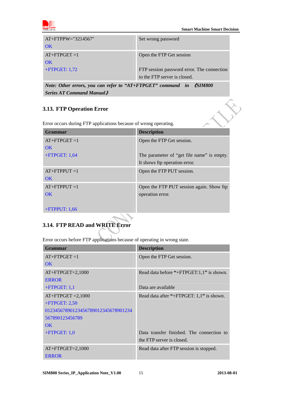<span id="page-13-0"></span>

 $\hat{\mathbf{v}}$ 

| $AT+FTPW=$ "3214567"<br>OK. | Set wrong password                                                         |
|-----------------------------|----------------------------------------------------------------------------|
| $AT+FTPGET=1$<br>OK.        | Open the FTP Get session                                                   |
| $+$ FTPGET: 1,72            | FTP session password error. The connection<br>to the FTP server is closed. |

*Note: Other errors, you can refer to "AT+FTPGET" command in* 《*SIM800 Series AT Command Manual*》

### **3.13. FTP Operation Error**

Error occurs during FTP applications because of wrong operating.

| <b>Grammar</b>   | <b>Description</b>                         |
|------------------|--------------------------------------------|
| $AT+FTPGET=1$    | Open the FTP Get session.                  |
| OK               |                                            |
| $+$ FTPGET: 1,64 | The parameter of "get file name" is empty. |
|                  | It shows ftp operation error.              |
| $AT+FTPPUT=1$    | Open the FTP PUT session.                  |
| OK               |                                            |
| $AT+FTPPUT=1$    | Open the FTP PUT session again. Show ftp   |
| OK               | operation error.                           |
|                  |                                            |
| $+$ FTPPUT: 1,66 |                                            |

# **3.14. FTP READ and WRITE Error**

Error occurs before FTP applications because of operating in wrong state.

| Grammar                             | <b>Description</b>                        |
|-------------------------------------|-------------------------------------------|
| $AT+FTPGET=1$                       | Open the FTP Get session.                 |
| OK                                  |                                           |
| $AT+FTPGET=2,1000$                  | Read data before "+FTPGET:1,1" is shown.  |
| <b>ERROR</b>                        |                                           |
| $+$ FTPGET: 1,1                     | Data are available                        |
| $AT+FTPGET = 2,1000$                | Read data after "+FTPGET: 1,1" is shown.  |
| $+$ FTPGET: 2,50                    |                                           |
| 01234567890123456789012345678901234 |                                           |
| 567890123456789                     |                                           |
| $\overline{\text{OK}}$              |                                           |
| $+$ FTPGET: 1,0                     | Data transfer finished. The connection to |
|                                     | the FTP server is closed.                 |
| $AT+FTPGET=2,1000$                  | Read data after FTP session is stopped.   |
| <b>ERROR</b>                        |                                           |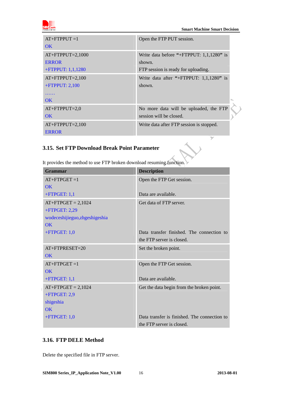<span id="page-14-0"></span>

 **Smart Machine Smart Decision** 

 $\rightarrow$ 

| $AT+FTPPUT=1$          | Open the FTP PUT session.                |
|------------------------|------------------------------------------|
| OK.                    |                                          |
| $AT+FTPPUT=2,1000$     | Write data before "+FTPPUT: 1,1,1280" is |
| <b>ERROR</b>           | shown.                                   |
| +FTPPUT: $1,1,1280$    | FTP session is ready for uploading.      |
| $AT+FTPPUT=2,100$      | Write data after "+FTPPUT: 1,1,1280" is  |
| $+$ FTPPUT: 2,100      | shown.                                   |
|                        |                                          |
| $\overline{\text{OK}}$ |                                          |
| $AT+FTPPUT=2,0$        | No more data will be uploaded, the FTP   |
| $\overline{\text{OK}}$ | session will be closed.                  |
| $AT+FTPUT=2,100$       | Write data after FTP session is stopped. |
| <b>ERROR</b>           |                                          |
|                        |                                          |

### **3.15. Set FTP Download Break Point Parameter**

| Grammar                        | <b>Description</b>                           |
|--------------------------------|----------------------------------------------|
| $AT+FTPGET=1$                  | Open the FTP Get session.                    |
| <b>OK</b>                      |                                              |
| $+$ FTPGET: 1,1                | Data are available.                          |
| $AT+FTPGET = 2,1024$           | Get data of FTP server.                      |
| $+$ FTPGET: 2,29               |                                              |
| wodeceshijieguo, zhgeshigeshia |                                              |
| <b>OK</b>                      |                                              |
| $+$ FTPGET: 1,0                | Data transfer finished. The connection to    |
|                                | the FTP server is closed.                    |
| $AT + FTPRESET = 20$           | Set the broken point.                        |
| OK.                            |                                              |
| $AT+FTPGET=1$                  | Open the FTP Get session.                    |
| $\overline{\text{OK}}$         |                                              |
| $+$ FTPGET: 1,1                | Data are available.                          |
| $AT+FTPGET = 2,1024$           | Get the data begin from the broken point.    |
| +FTPGET: 2,9                   |                                              |
| shigeshia                      |                                              |
| $\overline{\text{OK}}$         |                                              |
| $+$ FTPGET: 1,0                | Data transfer is finished. The connection to |
|                                | the FTP server is closed.                    |

It provides the method to use FTP broken download resuming function.

### **3.16. FTP DELE Method**

Delete the specified file in FTP server.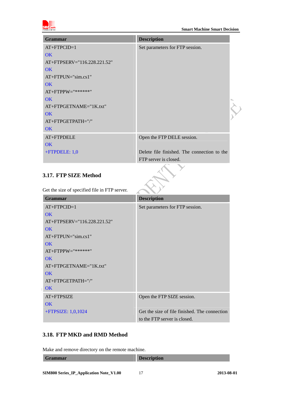<span id="page-15-0"></span>

| <b>Grammar</b>              | <b>Description</b>                          |  |
|-----------------------------|---------------------------------------------|--|
| $AT+FTPCID=1$               | Set parameters for FTP session.             |  |
| $\overline{\text{OK}}$      |                                             |  |
| AT+FTPSERV="116.228.221.52" |                                             |  |
| $\overline{\text{OK}}$      |                                             |  |
| $AT+FTPUN="sim.cs1"$        |                                             |  |
| OK                          |                                             |  |
| $AT + FTPPW = "******"$     |                                             |  |
| <b>OK</b>                   |                                             |  |
| AT+FTPGETNAME="1K.txt"      |                                             |  |
| <b>OK</b>                   |                                             |  |
| AT+FTPGETPATH="/"           |                                             |  |
| OK                          |                                             |  |
| AT+FTPDELE                  | Open the FTP DELE session.                  |  |
| OK                          |                                             |  |
| +FTPDELE: 1,0               | Delete file finished. The connection to the |  |
|                             | FTP server is closed.                       |  |
| 3.17. FTP SIZE Method       |                                             |  |

### **3.17. FTP SIZE Method**

Get the size of specified file in FTP server.

| <b>Grammar</b>              | <b>Description</b>                            |
|-----------------------------|-----------------------------------------------|
| $AT+FTPCID=1$               | Set parameters for FTP session.               |
| $\overline{\text{OK}}$      |                                               |
| AT+FTPSERV="116.228.221.52" |                                               |
| OK                          |                                               |
| $AT+FTPUN="sim.cs1"$        |                                               |
| OK                          |                                               |
| $AT+FTPPW=$ "******"        |                                               |
| OK                          |                                               |
| AT+FTPGETNAME="1K.txt"      |                                               |
| OK                          |                                               |
| AT+FTPGETPATH="/"           |                                               |
| OK                          |                                               |
| AT+FTPSIZE                  | Open the FTP SIZE session.                    |
| OK                          |                                               |
| $+$ FTPSIZE: 1,0,1024       | Get the size of file finished. The connection |
|                             | to the FTP server is closed.                  |

### **3.18. FTP MKD and RMD Method**

Make and remove directory on the remote machine.

| Grammar | r<br><b>Description</b> |
|---------|-------------------------|
|         |                         |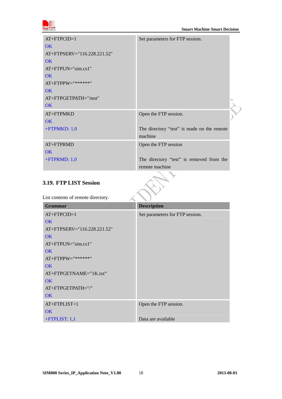<span id="page-16-0"></span>

| $AT+FTPCID=1$               | Set parameters for FTP session.            |  |
|-----------------------------|--------------------------------------------|--|
| OK                          |                                            |  |
| AT+FTPSERV="116.228.221.52" |                                            |  |
| OK                          |                                            |  |
| $AT+FTPUN="sim.cs1"$        |                                            |  |
| OK                          |                                            |  |
| $AT+FTPPW=""******"$        |                                            |  |
| OK                          |                                            |  |
| AT+FTPGETPATH="/test"       |                                            |  |
| <b>OK</b>                   |                                            |  |
| $AT + FTPMKD$               | Open the FTP session.                      |  |
| <b>OK</b>                   |                                            |  |
| $+$ FTPMKD: 1,0             | The directory "test" is made on the remote |  |
|                             | machine                                    |  |
| AT+FTPRMD                   | Open the FTP session                       |  |
| OK                          |                                            |  |
| $+$ FTPRMD: 1,0             | The directory "test" is removed from the   |  |
|                             | remote machine                             |  |

#### **3.19. FTP LIST Session**

List contents of remote directory.

| ∼<br><b>Grammar</b>         | . .<br><b>Description</b>       |
|-----------------------------|---------------------------------|
| $AT+FTPCID=1$               | Set parameters for FTP session. |
| OK.                         |                                 |
| AT+FTPSERV="116.228.221.52" |                                 |
| <b>OK</b>                   |                                 |
| $AT+FTPUN="sim.cs1"$        |                                 |
| OK                          |                                 |
| $AT+FTPPW=$ "******"        |                                 |
| <b>OK</b>                   |                                 |
| $AT+FTPGETNAME="IK.txt"$    |                                 |
| OK                          |                                 |
| AT+FTPGETPATH="/"           |                                 |
| <b>OK</b>                   |                                 |
| $AT+FTPLIST=1$              | Open the FTP session.           |
| OK                          |                                 |
| $+$ FTPLIST: 1,1            | Data are available              |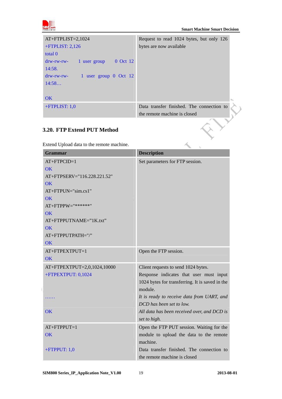<span id="page-17-0"></span>

| $AT+FTPLIST=2,1024$                                | Request to read 1024 bytes, but only 126  |
|----------------------------------------------------|-------------------------------------------|
| $+$ FTPLIST: 2,126                                 | bytes are now available                   |
| total 0                                            |                                           |
| 0 Oct 12<br>$drw$ - $rw$ - $rw$ -<br>1 user group  |                                           |
| 14:58.                                             |                                           |
| 1 user group 0 Oct 12<br>$drw$ - $rw$ - $rw$ - $-$ |                                           |
| 14:58                                              |                                           |
|                                                    |                                           |
| <b>OK</b>                                          |                                           |
| $+$ FTPLIST: 1,0                                   | Data transfer finished. The connection to |
|                                                    | the remote machine is closed              |

### **3.20. FTP Extend PUT Method**

|                                           | the remote machine is closed                    |
|-------------------------------------------|-------------------------------------------------|
| 3.20. FTP Extend PUT Method               |                                                 |
| Extend Upload data to the remote machine. |                                                 |
| <b>Grammar</b>                            | <b>Description</b>                              |
| $AT+FTPCID=1$                             | Set parameters for FTP session.                 |
| OK                                        |                                                 |
| AT+FTPSERV="116.228.221.52"               |                                                 |
| OK                                        |                                                 |
| AT+FTPUN="sim.cs1"                        |                                                 |
| $\overline{\text{OK}}$                    |                                                 |
| AT+FTPPW="*******"                        |                                                 |
| <b>OK</b>                                 |                                                 |
| AT+FTPPUTNAME="1K.txt"                    |                                                 |
| <b>OK</b>                                 |                                                 |
| AT+FTPPUTPATH="/"                         |                                                 |
| <b>OK</b>                                 |                                                 |
| AT+FTPEXTPUT=1                            | Open the FTP session.                           |
| <b>OK</b>                                 |                                                 |
| AT+FTPEXTPUT=2,0,1024,10000               | Client requests to send 1024 bytes.             |
| +FTPEXTPUT: 0,1024                        | Response indicates that user must input         |
|                                           | 1024 bytes for transferring. It is saved in the |
|                                           | module.                                         |
|                                           | It is ready to receive data from UART, and      |
|                                           | DCD has been set to low.                        |
| OK                                        | All data has been received over, and DCD is     |
|                                           | set to high.                                    |
| $AT+FTPPUT=1$                             | Open the FTP PUT session. Waiting for the       |
| OK                                        | module to upload the data to the remote         |
|                                           | machine.                                        |
| +FTPPUT: $1,0$                            | Data transfer finished. The connection to       |
|                                           | the remote machine is closed                    |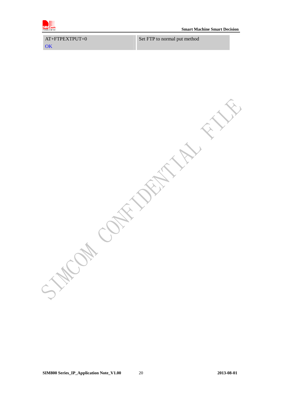

AT+FTPEXTPUT=0 **OK** Set FTP to normal put method

**COM CONTAINS AND** Wat -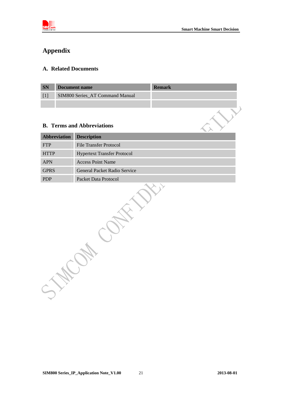<span id="page-19-0"></span>

# **Appendix**

#### **A. Related Documents**

| <b>SN</b> | Document name                          | <b>Remark</b> |
|-----------|----------------------------------------|---------------|
|           | <b>SIM800 Series AT Command Manual</b> |               |
|           |                                        |               |

#### **B. Terms and Abbreviations**

| Abbreviation | <b>Description</b>                  |
|--------------|-------------------------------------|
| <b>FTP</b>   | File Transfer Protocol              |
| <b>HTTP</b>  | <b>Hypertext Transfer Protocol</b>  |
| <b>APN</b>   | <b>Access Point Name</b>            |
| <b>GPRS</b>  | <b>General Packet Radio Service</b> |
| <b>PDP</b>   | Packet Data Protocol                |

**SIM800 Series\_IP\_Application Note\_V1.00** 21 **2013-08-01 2013-08-01**